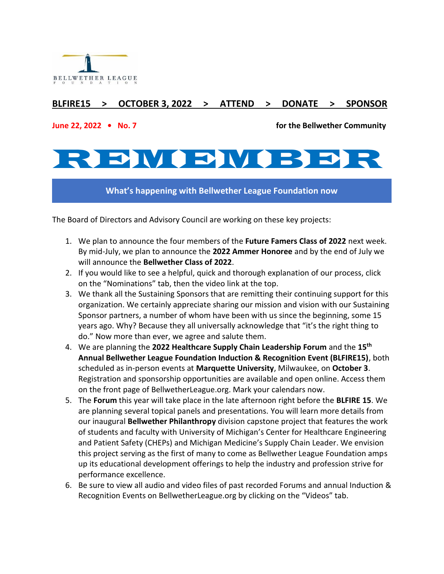

# **BLFIRE15 > OCTOBER 3, 2022 > ATTEND > DONATE > SPONSOR**

**June 22, 2022 • No. 7 for the Bellwether Community**

# REVICE DI VE

**What's happening with Bellwether League Foundation now**

The Board of Directors and Advisory Council are working on these key projects:

- 1. We plan to announce the four members of the **Future Famers Class of 2022** next week. By mid-July, we plan to announce the **2022 Ammer Honoree** and by the end of July we will announce the **Bellwether Class of 2022**.
- 2. If you would like to see a helpful, quick and thorough explanation of our process, click on the "Nominations" tab, then the video link at the top.
- 3. We thank all the Sustaining Sponsors that are remitting their continuing support for this organization. We certainly appreciate sharing our mission and vision with our Sustaining Sponsor partners, a number of whom have been with us since the beginning, some 15 years ago. Why? Because they all universally acknowledge that "it's the right thing to do." Now more than ever, we agree and salute them.
- 4. We are planning the **2022 Healthcare Supply Chain Leadership Forum** and the **15th Annual Bellwether League Foundation Induction & Recognition Event (BLFIRE15)**, both scheduled as in-person events at **Marquette University**, Milwaukee, on **October 3**. Registration and sponsorship opportunities are available and open online. Access them on the front page of BellwetherLeague.org. Mark your calendars now.
- 5. The **Forum** this year will take place in the late afternoon right before the **BLFIRE 15**. We are planning several topical panels and presentations. You will learn more details from our inaugural **Bellwether Philanthropy** division capstone project that features the work of students and faculty with University of Michigan's Center for Healthcare Engineering and Patient Safety (CHEPs) and Michigan Medicine's Supply Chain Leader. We envision this project serving as the first of many to come as Bellwether League Foundation amps up its educational development offerings to help the industry and profession strive for performance excellence.
- 6. Be sure to view all audio and video files of past recorded Forums and annual Induction & Recognition Events on BellwetherLeague.org by clicking on the "Videos" tab.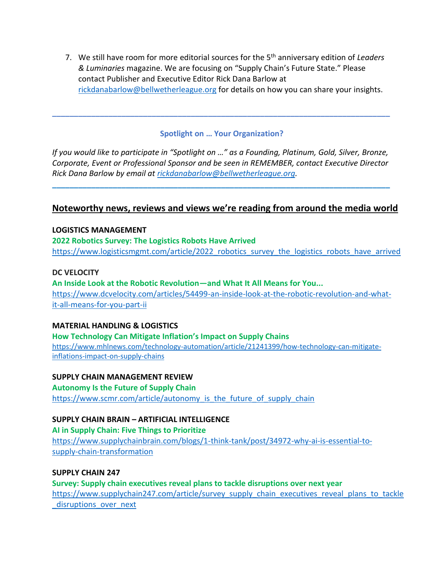7. We still have room for more editorial sources for the 5th anniversary edition of *Leaders & Luminaries* magazine. We are focusing on "Supply Chain's Future State." Please contact Publisher and Executive Editor Rick Dana Barlow at [rickdanabarlow@bellwetherleague.org](mailto:rickdanabarlow@bellwetherleague.org) for details on how you can share your insights.

#### **Spotlight on … Your Organization?**

**\_\_\_\_\_\_\_\_\_\_\_\_\_\_\_\_\_\_\_\_\_\_\_\_\_\_\_\_\_\_\_\_\_\_\_\_\_\_\_\_\_\_\_\_\_\_\_\_\_\_\_\_\_\_\_\_\_\_\_\_\_\_\_\_\_\_\_\_\_\_\_\_\_\_\_\_\_\_**

*If you would like to participate in "Spotlight on …" as a Founding, Platinum, Gold, Silver, Bronze, Corporate, Event or Professional Sponsor and be seen in REMEMBER, contact Executive Director Rick Dana Barlow by email at [rickdanabarlow@bellwetherleague.org.](mailto:rickdanabarlow@bellwetherleague.org)*

**\_\_\_\_\_\_\_\_\_\_\_\_\_\_\_\_\_\_\_\_\_\_\_\_\_\_\_\_\_\_\_\_\_\_\_\_\_\_\_\_\_\_\_\_\_\_\_\_\_\_\_\_\_\_\_\_\_\_\_\_\_\_\_\_\_\_\_\_\_\_\_\_\_\_\_\_\_\_**

### **Noteworthy news, reviews and views we're reading from around the media world**

#### **LOGISTICS MANAGEMENT**

**[2022 Robotics Survey: The Logistics Robots Have Arrived](https://links.rasa.io/v1/t/eJx1kc9uwjAMh18F9cBpQAsr_yS0HbjssGnaC0RuY0q2JkG2Q8UQ774URneAHRN_P_tzckwC1cmyl2xFdrwcjZqmGda-MiymZFtZGZbejoDiscbROB2PFfnCt1XFgfZ4ULJF1UUuVVZb2KMCIrNH_RTEKovaBLtCC6butxfsA5W4ImBQxvffPcvLepVPFlmWTtP-KzJDhR_BrVFiJtYW43maLeb5JE8eeomN1xoEov0xuTRrF3nDhmsUQbqBzrNbhkz5pcFBAVT75rkxrtp4L60iDAvz3SbPXvYioeSw65oXZHDza9eBHIpPLEX9ecRns8EZOajSu42pAoEY765kl_zjjG5zFqK6gXoLTtdRzDgdWOhw48TotIq7nae1HzNI80GWdRxh6Un_ds0ms_hw-Z2pOySOWvex6ywKVyKfpo-zRTr_h2EOeO01nWezLDmdTj8-3dSa)** [https://www.logisticsmgmt.com/article/2022\\_robotics\\_survey\\_the\\_logistics\\_robots\\_have\\_arrived](https://www.logisticsmgmt.com/article/2022_robotics_survey_the_logistics_robots_have_arrived)

#### **DC VELOCITY**

**[An Inside Look at the Robotic Revolution](https://links.rasa.io/v1/t/eJx1kMFu2zAMhl-l8CGnKbGduLELBNuhlx1aDH0Bg5aYhKskBhJVIyvy7pXTJj20u0off378X4sUbHF3U-xFDvFusRjHcW70C1rWJMe5ZreAIKQtxkWzWnWdAq_IRzKoLPOzAlGyRxV44IypgC9skxD7DBo17vM_iQJrlUPwUW05qCMndcixiuhnEtc7NJTcBh2QnU0PkVPQuAkQoSee_eEov-83zbJtl1XdzB4wRtjhU_L3KHkm_3V1W1Zd26zq4sdN4fKzAYF82WvxHjYd-YhjtCiC4Qt03j0xgfSzAQ8DBMvjr5H8bssskyLMB_o3TZ693LtEL8fDNXwIhNsPuysY0_AXtfSfHrlVl3zut9fst7RLAabGLuR18pMjM805yOoEdp-rtVmMvElRwvGLU0Rv-nzbeVtd1rUqG1VVVy6g5mA-UqvlOhfXfLP1gCFmre-xy66QLkRzW67WXdn-h4kx4SXrtq3WVXE6nd4AcATckw==)—and What It All Means for You...** [https://www.dcvelocity.com/articles/54499-an-inside-look-at-the-robotic-revolution-and-what](https://www.dcvelocity.com/articles/54499-an-inside-look-at-the-robotic-revolution-and-what-it-all-means-for-you-part-ii?utm_medium=email&utm_source=rasa_io)[it-all-means-for-you-part-ii](https://www.dcvelocity.com/articles/54499-an-inside-look-at-the-robotic-revolution-and-what-it-all-means-for-you-part-ii?utm_medium=email&utm_source=rasa_io)

#### **MATERIAL HANDLING & LOGISTICS**

**[How Technology Can Mitigate Inflation's Impact on Supply Chains](https://links.rasa.io/v1/t/eJxtkc1u2zAQhF8l0MGn0rL-rQBGcsilhxZFX0BYU2tpU_4I5BKCG_jdSymxUyC-Lr-ZnVm-JcGp5PEhGZkn_5im8zxv9agMzn4rrU4Z5WisssNZQGCrgcmaFByTVJjmWV5mRdumo53Ff6gEIzQxDcAoyJzUKvOC9ASShTXCh2lSERyBjH8KrDuNPQV9QA2kNsvA2-AkHhx46MhuflnP318OVdm0ZV3sNj_QexjwdzAvyFET39piX5bVrsmr5NtDouO4B4ZY7y15N1ua_ozVFDKj-wKtuxfGkfzTg4EjOGXn55nMcLKWl4iwPdLfRbnm0u8hOj5PN_OjIzx9pLuBPhxfUXL3mSNeVwdDfO6kNScagluPdCVvyk-O-kUXvwAdgRrB9CoGI9MHz-78JZNH03ex27ot3-W52FUi2984h9K6_sM1K5p2X1V3tk7ofIx1H7vucuFKVHVd7_M2a-4z3ge8etVtWzTJ5XL5B_Ez31o=)** [https://www.mhlnews.com/technology-automation/article/21241399/how-technology-can-mitigate](https://www.mhlnews.com/technology-automation/article/21241399/how-technology-can-mitigate-inflations-impact-on-supply-chains)[inflations-impact-on-supply-chains](https://www.mhlnews.com/technology-automation/article/21241399/how-technology-can-mitigate-inflations-impact-on-supply-chains)

#### **SUPPLY CHAIN MANAGEMENT REVIEW**

**[Autonomy Is the Future of Supply Chain](https://links.rasa.io/v1/t/eJxtkMFygjAQhl_F4eCpioABdcZpD156aKfTF8gssEhakjDJZhjq-O4NKnjQ6-b7__2yp8CZJtjNgpqotbsw7LpuaQtploWWIRgSRYMhONJKy54Ly6lGXjlyBrmuuHVt2_S8qEGoV0eSSyyFk3uUIJr5MLDamQL3Bixwoedf2tL7Yc_YOkkZ284_0Fo44rdTBySf8W_b9SbdZEkcbYKXWSD9uAQCL3kKrmWD7yd2tkEiNA_QZffAGFH8lqAgB9Po7q0T6lhpTYMiLHPxNyQvXvIqwalvp_LcCKxudhNoXf6DBfG7hz-TdEqQv4FWlTg6AyS0GskpeedEOeQkeHUBTQ2qbLyYUKWzZPoHJ4uq5P5vl23xKo4XK7aI2cQZLLQpb61Rkm03jD3Z2qKxXus5Nu4ybiRYlkRZuk3j54y1DseuLMoSFpzP538Vn8ss)** [https://www.scmr.com/article/autonomy\\_is\\_the\\_future\\_of\\_supply\\_chain](https://www.scmr.com/article/autonomy_is_the_future_of_supply_chain)

#### **SUPPLY CHAIN BRAIN – ARTIFICIAL INTELLIGENCE**

**[AI in Supply Chain: Five Things to Prioritize](https://links.rasa.io/v1/t/eJxtkL1u4zAQhF8lUOEqtH4shnEAIynSpMjhcC8grCTa2lgkheUSghL43Y-SY6eIGxbLb2dm5ysJ1CdPd0nHPPinNB3Hce3DMPRT0wHamuKzbpxJ694dfJoL7tAeBYM9poPznG7KrSrE2E0CUKAX2nttGaEX7MRZSSxSggms3zsywOjsc2BTGd1iMDttAPvVPPAuUKN3BB4qdKu_0eHtdSelKkul1Oo9qsNB_wv2VXPciX9bqWRW5o-ySO7vEhPHLTDEk76Ss9h83R89-l4za_oFLd4zQ9gcW7BQA_VufBnRHvbO8RwR1jV-zptLLnMOUfE0XMVrQr3_TncFfag_dMPVT45YpAkWeaoaZ_d4CLR0cSGvmz8ctvNerExT7LQD2_YxGNo2eKbpV6bYfVvF2xa3IisKkT2ILL9ypBtH7bdqvlHbRylvuA6afIx1G7t4UbgQUm03WfmQq9uM90FftNRGFllyOp3-A2P22po=)** [https://www.supplychainbrain.com/blogs/1-think-tank/post/34972-why-ai-is-essential-to](https://www.supplychainbrain.com/blogs/1-think-tank/post/34972-why-ai-is-essential-to-supply-chain-transformation)[supply-chain-transformation](https://www.supplychainbrain.com/blogs/1-think-tank/post/34972-why-ai-is-essential-to-supply-chain-transformation)

#### **SUPPLY CHAIN 247**

**[Survey: Supply chain executives reveal plans to tackle disruptions over next year](https://links.rasa.io/v1/t/eJxtkM1u6kAMRl-lyoJVC0lgGqiE2kU3XbS6ui8wMhMD085PZHtIuRXvfidQ6KJs7fPZx_4qErni4abYinT8MJn0fT_m1HVub7ZgQz1rxib6CZBY43DCiXa41ydCHxGNn2iS2B2yJtwhON05CKwlagHz4VC3lil1YmOuxh2SDvgpj0m89tja5JfowbrRUOCYyOCSgEHbOPoTWV6el0o15WJaqdErMsMG_6bwjJIzubdQjSpn1VzNi9ubwudyCwL5pq_iNGw47w17diiC9As67h4YsuajhQArIBf7p96GzTpGGRRhvLL_huTRy58ktOy7y_AVWVx_211ATqt3NKJ_PPIvfQpW8u9iWNtNIhjeciYvyR_OtkPOQ1a34LYQWpfFbGgTC-1_OTGGVufbjtvqsq7vyvu7srpwhCZS-z21mjaLuVJXtnZInLWuY-ddlM6EahbTcnZfNdcZ5oTnWc1U1WVxOBz-A3EU3kM=)** [https://www.supplychain247.com/article/survey\\_supply\\_chain\\_executives\\_reveal\\_plans\\_to\\_tackle](https://www.supplychain247.com/article/survey_supply_chain_executives_reveal_plans_to_tackle_disruptions_over_next) disruptions over next